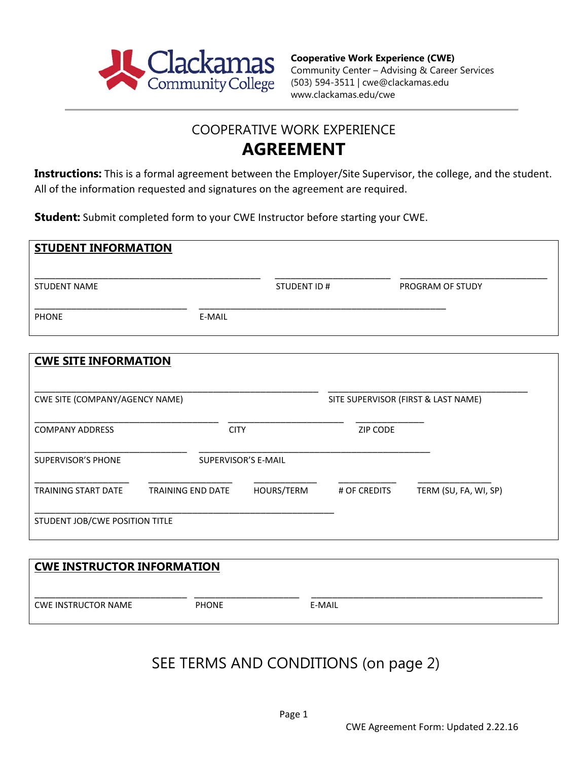

### COOPERATIVE WORK EXPERIENCE **AGREEMENT**

**Instructions:** This is a formal agreement between the Employer/Site Supervisor, the college, and the student. All of the information requested and signatures on the agreement are required.

**Student:** Submit completed form to your CWE Instructor before starting your CWE.

| <b>STUDENT INFORMATION</b> |        |             |                  |
|----------------------------|--------|-------------|------------------|
| <b>STUDENT NAME</b>        |        | STUDENT ID# | PROGRAM OF STUDY |
| <b>PHONE</b>               | E-MAIL |             |                  |

| <b>CWE SITE INFORMATION</b>    |                          |                     |                                     |                       |  |
|--------------------------------|--------------------------|---------------------|-------------------------------------|-----------------------|--|
| CWE SITE (COMPANY/AGENCY NAME) |                          |                     | SITE SUPERVISOR (FIRST & LAST NAME) |                       |  |
| <b>COMPANY ADDRESS</b>         | <b>CITY</b>              |                     | <b>ZIP CODE</b>                     |                       |  |
| SUPERVISOR'S PHONE             |                          | SUPERVISOR'S E-MAIL |                                     |                       |  |
| <b>TRAINING START DATE</b>     | <b>TRAINING END DATE</b> | HOURS/TERM          | # OF CREDITS                        | TERM (SU, FA, WI, SP) |  |
| STUDENT JOB/CWE POSITION TITLE |                          |                     |                                     |                       |  |

| <b>CWE INSTRUCTOR INFORMATION</b> |              |        |  |  |  |  |  |
|-----------------------------------|--------------|--------|--|--|--|--|--|
| CWE INSTRUCTOR NAME               | <b>PHONE</b> | E-MAIL |  |  |  |  |  |

## SEE TERMS AND CONDITIONS (on page 2)